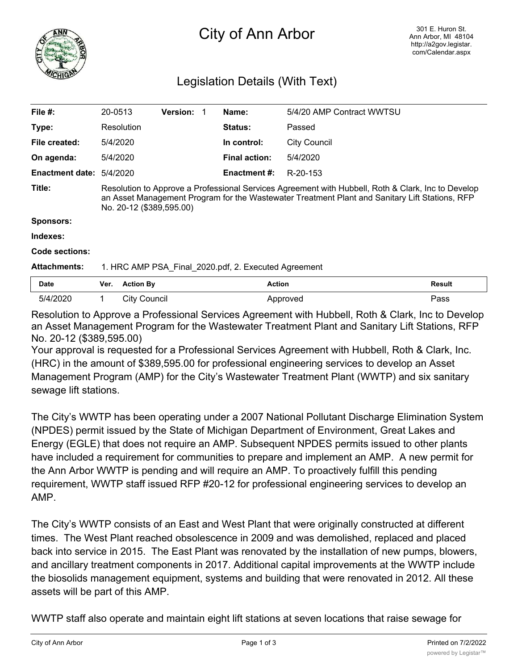

## City of Ann Arbor

## Legislation Details (With Text)

| File $#$ :             | 20-0513                                                                                                                                                                                                                          |                     | <b>Version: 1</b> |  | Name:                | 5/4/20 AMP Contract WWTSU |               |
|------------------------|----------------------------------------------------------------------------------------------------------------------------------------------------------------------------------------------------------------------------------|---------------------|-------------------|--|----------------------|---------------------------|---------------|
| Type:                  | Resolution                                                                                                                                                                                                                       |                     |                   |  | <b>Status:</b>       | Passed                    |               |
| File created:          | 5/4/2020                                                                                                                                                                                                                         |                     |                   |  | In control:          | <b>City Council</b>       |               |
| On agenda:             | 5/4/2020                                                                                                                                                                                                                         |                     |                   |  | <b>Final action:</b> | 5/4/2020                  |               |
| <b>Enactment date:</b> | 5/4/2020                                                                                                                                                                                                                         |                     |                   |  | <b>Enactment #:</b>  | R-20-153                  |               |
| Title:                 | Resolution to Approve a Professional Services Agreement with Hubbell, Roth & Clark, Inc to Develop<br>an Asset Management Program for the Wastewater Treatment Plant and Sanitary Lift Stations, RFP<br>No. 20-12 (\$389,595.00) |                     |                   |  |                      |                           |               |
| <b>Sponsors:</b>       |                                                                                                                                                                                                                                  |                     |                   |  |                      |                           |               |
| Indexes:               |                                                                                                                                                                                                                                  |                     |                   |  |                      |                           |               |
| Code sections:         |                                                                                                                                                                                                                                  |                     |                   |  |                      |                           |               |
| <b>Attachments:</b>    | 1. HRC AMP PSA Final 2020.pdf, 2. Executed Agreement                                                                                                                                                                             |                     |                   |  |                      |                           |               |
| Date                   | Ver.                                                                                                                                                                                                                             | <b>Action By</b>    |                   |  | <b>Action</b>        |                           | <b>Result</b> |
| 5/4/2020               | 1.                                                                                                                                                                                                                               | <b>City Council</b> |                   |  |                      | Approved                  | Pass          |
|                        |                                                                                                                                                                                                                                  |                     |                   |  |                      |                           |               |

Resolution to Approve a Professional Services Agreement with Hubbell, Roth & Clark, Inc to Develop an Asset Management Program for the Wastewater Treatment Plant and Sanitary Lift Stations, RFP No. 20-12 (\$389,595.00)

Your approval is requested for a Professional Services Agreement with Hubbell, Roth & Clark, Inc. (HRC) in the amount of \$389,595.00 for professional engineering services to develop an Asset Management Program (AMP) for the City's Wastewater Treatment Plant (WWTP) and six sanitary sewage lift stations.

The City's WWTP has been operating under a 2007 National Pollutant Discharge Elimination System (NPDES) permit issued by the State of Michigan Department of Environment, Great Lakes and Energy (EGLE) that does not require an AMP. Subsequent NPDES permits issued to other plants have included a requirement for communities to prepare and implement an AMP. A new permit for the Ann Arbor WWTP is pending and will require an AMP. To proactively fulfill this pending requirement, WWTP staff issued RFP #20-12 for professional engineering services to develop an AMP.

The City's WWTP consists of an East and West Plant that were originally constructed at different times. The West Plant reached obsolescence in 2009 and was demolished, replaced and placed back into service in 2015. The East Plant was renovated by the installation of new pumps, blowers, and ancillary treatment components in 2017. Additional capital improvements at the WWTP include the biosolids management equipment, systems and building that were renovated in 2012. All these assets will be part of this AMP.

WWTP staff also operate and maintain eight lift stations at seven locations that raise sewage for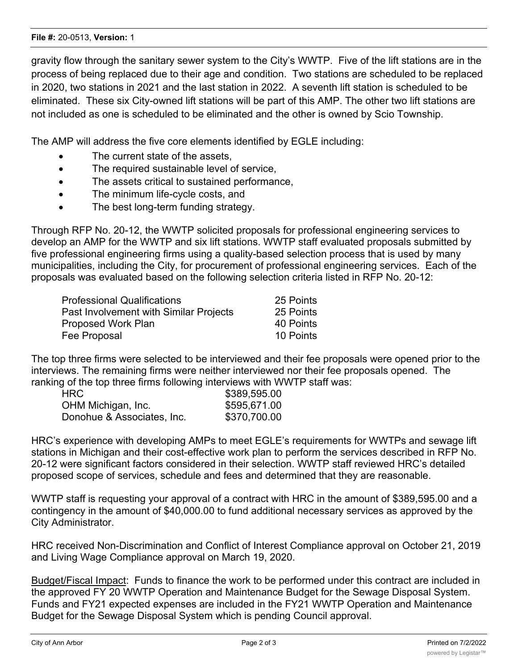gravity flow through the sanitary sewer system to the City's WWTP. Five of the lift stations are in the process of being replaced due to their age and condition. Two stations are scheduled to be replaced in 2020, two stations in 2021 and the last station in 2022. A seventh lift station is scheduled to be eliminated. These six City-owned lift stations will be part of this AMP. The other two lift stations are not included as one is scheduled to be eliminated and the other is owned by Scio Township.

The AMP will address the five core elements identified by EGLE including:

- The current state of the assets.
- · The required sustainable level of service,
- · The assets critical to sustained performance,
- · The minimum life-cycle costs, and
- · The best long-term funding strategy.

Through RFP No. 20-12, the WWTP solicited proposals for professional engineering services to develop an AMP for the WWTP and six lift stations. WWTP staff evaluated proposals submitted by five professional engineering firms using a quality-based selection process that is used by many municipalities, including the City, for procurement of professional engineering services. Each of the proposals was evaluated based on the following selection criteria listed in RFP No. 20-12:

| <b>Professional Qualifications</b>     | 25 Points |
|----------------------------------------|-----------|
| Past Involvement with Similar Projects | 25 Points |
| Proposed Work Plan                     | 40 Points |
| Fee Proposal                           | 10 Points |

The top three firms were selected to be interviewed and their fee proposals were opened prior to the interviews. The remaining firms were neither interviewed nor their fee proposals opened. The ranking of the top three firms following interviews with WWTP staff was:

| HRC.                       | \$389,595.00 |
|----------------------------|--------------|
| OHM Michigan, Inc.         | \$595,671.00 |
| Donohue & Associates, Inc. | \$370,700.00 |
|                            |              |

HRC's experience with developing AMPs to meet EGLE's requirements for WWTPs and sewage lift stations in Michigan and their cost-effective work plan to perform the services described in RFP No. 20-12 were significant factors considered in their selection. WWTP staff reviewed HRC's detailed proposed scope of services, schedule and fees and determined that they are reasonable.

WWTP staff is requesting your approval of a contract with HRC in the amount of \$389,595.00 and a contingency in the amount of \$40,000.00 to fund additional necessary services as approved by the City Administrator.

HRC received Non-Discrimination and Conflict of Interest Compliance approval on October 21, 2019 and Living Wage Compliance approval on March 19, 2020.

Budget/Fiscal Impact: Funds to finance the work to be performed under this contract are included in the approved FY 20 WWTP Operation and Maintenance Budget for the Sewage Disposal System. Funds and FY21 expected expenses are included in the FY21 WWTP Operation and Maintenance Budget for the Sewage Disposal System which is pending Council approval.